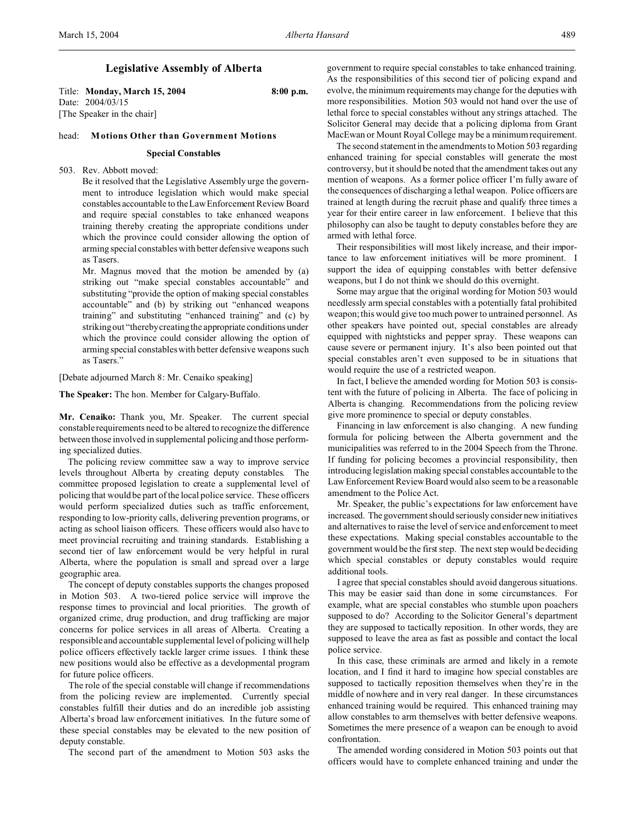## **Legislative Assembly of Alberta**

Title: **Monday, March 15, 2004 8:00 p.m.** Date: 2004/03/15 [The Speaker in the chair]

#### head: **Motions Other than Government Motions**

#### **Special Constables**

503. Rev. Abbott moved:

Be it resolved that the Legislative Assembly urge the government to introduce legislation which would make special constables accountable to the Law Enforcement Review Board and require special constables to take enhanced weapons training thereby creating the appropriate conditions under which the province could consider allowing the option of arming special constables with better defensive weapons such as Tasers.

Mr. Magnus moved that the motion be amended by (a) striking out "make special constables accountable" and substituting "provide the option of making special constables accountable" and (b) by striking out "enhanced weapons training" and substituting "enhanced training" and (c) by striking out "thereby creating the appropriate conditions under which the province could consider allowing the option of arming special constables with better defensive weapons such as Tasers."

[Debate adjourned March 8: Mr. Cenaiko speaking]

**The Speaker:** The hon. Member for Calgary-Buffalo.

**Mr. Cenaiko:** Thank you, Mr. Speaker. The current special constable requirements need to be altered to recognize the difference between those involved in supplemental policing and those performing specialized duties.

The policing review committee saw a way to improve service levels throughout Alberta by creating deputy constables. The committee proposed legislation to create a supplemental level of policing that would be part of the local police service. These officers would perform specialized duties such as traffic enforcement, responding to low-priority calls, delivering prevention programs, or acting as school liaison officers. These officers would also have to meet provincial recruiting and training standards. Establishing a second tier of law enforcement would be very helpful in rural Alberta, where the population is small and spread over a large geographic area.

The concept of deputy constables supports the changes proposed in Motion 503. A two-tiered police service will improve the response times to provincial and local priorities. The growth of organized crime, drug production, and drug trafficking are major concerns for police services in all areas of Alberta. Creating a responsible and accountable supplemental level of policing will help police officers effectively tackle larger crime issues. I think these new positions would also be effective as a developmental program for future police officers.

The role of the special constable will change if recommendations from the policing review are implemented. Currently special constables fulfill their duties and do an incredible job assisting Alberta's broad law enforcement initiatives. In the future some of these special constables may be elevated to the new position of deputy constable.

The second part of the amendment to Motion 503 asks the

government to require special constables to take enhanced training. As the responsibilities of this second tier of policing expand and evolve, the minimum requirements may change for the deputies with more responsibilities. Motion 503 would not hand over the use of lethal force to special constables without any strings attached. The Solicitor General may decide that a policing diploma from Grant MacEwan or Mount Royal College may be a minimum requirement.

The second statement in the amendments to Motion 503 regarding enhanced training for special constables will generate the most controversy, but it should be noted that the amendment takes out any mention of weapons. As a former police officer I'm fully aware of the consequences of discharging a lethal weapon. Police officers are trained at length during the recruit phase and qualify three times a year for their entire career in law enforcement. I believe that this philosophy can also be taught to deputy constables before they are armed with lethal force.

Their responsibilities will most likely increase, and their importance to law enforcement initiatives will be more prominent. I support the idea of equipping constables with better defensive weapons, but I do not think we should do this overnight.

Some may argue that the original wording for Motion 503 would needlessly arm special constables with a potentially fatal prohibited weapon; this would give too much power to untrained personnel. As other speakers have pointed out, special constables are already equipped with nightsticks and pepper spray. These weapons can cause severe or permanent injury. It's also been pointed out that special constables aren't even supposed to be in situations that would require the use of a restricted weapon.

In fact, I believe the amended wording for Motion 503 is consistent with the future of policing in Alberta. The face of policing in Alberta is changing. Recommendations from the policing review give more prominence to special or deputy constables.

Financing in law enforcement is also changing. A new funding formula for policing between the Alberta government and the municipalities was referred to in the 2004 Speech from the Throne. If funding for policing becomes a provincial responsibility, then introducing legislation making special constables accountable to the Law Enforcement Review Board would also seem to be a reasonable amendment to the Police Act.

Mr. Speaker, the public's expectations for law enforcement have increased. The government should seriously consider new initiatives and alternatives to raise the level of service and enforcement to meet these expectations. Making special constables accountable to the government would be the first step. The next step would be deciding which special constables or deputy constables would require additional tools.

I agree that special constables should avoid dangerous situations. This may be easier said than done in some circumstances. For example, what are special constables who stumble upon poachers supposed to do? According to the Solicitor General's department they are supposed to tactically reposition. In other words, they are supposed to leave the area as fast as possible and contact the local police service.

In this case, these criminals are armed and likely in a remote location, and I find it hard to imagine how special constables are supposed to tactically reposition themselves when they're in the middle of nowhere and in very real danger. In these circumstances enhanced training would be required. This enhanced training may allow constables to arm themselves with better defensive weapons. Sometimes the mere presence of a weapon can be enough to avoid confrontation.

The amended wording considered in Motion 503 points out that officers would have to complete enhanced training and under the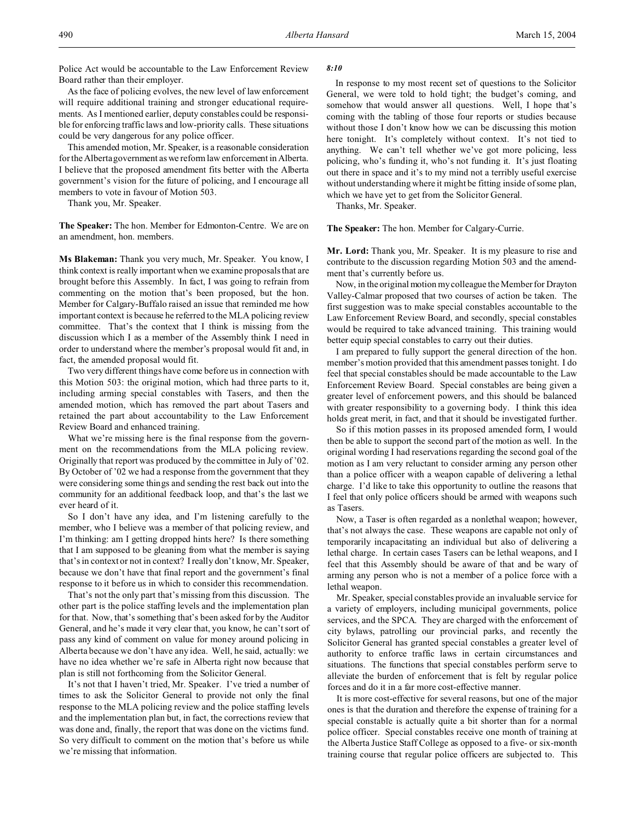Police Act would be accountable to the Law Enforcement Review Board rather than their employer.

As the face of policing evolves, the new level of law enforcement will require additional training and stronger educational requirements. As I mentioned earlier, deputy constables could be responsible for enforcing traffic laws and low-priority calls. These situations could be very dangerous for any police officer.

This amended motion, Mr. Speaker, is a reasonable consideration for the Alberta government as we reform law enforcement in Alberta. I believe that the proposed amendment fits better with the Alberta government's vision for the future of policing, and I encourage all members to vote in favour of Motion 503.

Thank you, Mr. Speaker.

**The Speaker:** The hon. Member for Edmonton-Centre. We are on an amendment, hon. members.

**Ms Blakeman:** Thank you very much, Mr. Speaker. You know, I think context is really important when we examine proposals that are brought before this Assembly. In fact, I was going to refrain from commenting on the motion that's been proposed, but the hon. Member for Calgary-Buffalo raised an issue that reminded me how important context is because he referred to the MLA policing review committee. That's the context that I think is missing from the discussion which I as a member of the Assembly think I need in order to understand where the member's proposal would fit and, in fact, the amended proposal would fit.

Two very different things have come before us in connection with this Motion 503: the original motion, which had three parts to it, including arming special constables with Tasers, and then the amended motion, which has removed the part about Tasers and retained the part about accountability to the Law Enforcement Review Board and enhanced training.

What we're missing here is the final response from the government on the recommendations from the MLA policing review. Originally that report was produced by the committee in July of '02. By October of '02 we had a response from the government that they were considering some things and sending the rest back out into the community for an additional feedback loop, and that's the last we ever heard of it.

So I don't have any idea, and I'm listening carefully to the member, who I believe was a member of that policing review, and I'm thinking: am I getting dropped hints here? Is there something that I am supposed to be gleaning from what the member is saying that's in context or not in context? I really don't know, Mr. Speaker, because we don't have that final report and the government's final response to it before us in which to consider this recommendation.

That's not the only part that's missing from this discussion. The other part is the police staffing levels and the implementation plan for that. Now, that's something that's been asked for by the Auditor General, and he's made it very clear that, you know, he can't sort of pass any kind of comment on value for money around policing in Alberta because we don't have any idea. Well, he said, actually: we have no idea whether we're safe in Alberta right now because that plan is still not forthcoming from the Solicitor General.

It's not that I haven't tried, Mr. Speaker. I've tried a number of times to ask the Solicitor General to provide not only the final response to the MLA policing review and the police staffing levels and the implementation plan but, in fact, the corrections review that was done and, finally, the report that was done on the victims fund. So very difficult to comment on the motion that's before us while we're missing that information.

### *8:10*

In response to my most recent set of questions to the Solicitor General, we were told to hold tight; the budget's coming, and somehow that would answer all questions. Well, I hope that's coming with the tabling of those four reports or studies because without those I don't know how we can be discussing this motion here tonight. It's completely without context. It's not tied to anything. We can't tell whether we've got more policing, less policing, who's funding it, who's not funding it. It's just floating out there in space and it's to my mind not a terribly useful exercise without understanding where it might be fitting inside of some plan, which we have yet to get from the Solicitor General.

Thanks, Mr. Speaker.

**The Speaker:** The hon. Member for Calgary-Currie.

**Mr. Lord:** Thank you, Mr. Speaker. It is my pleasure to rise and contribute to the discussion regarding Motion 503 and the amendment that's currently before us.

Now, in the original motion my colleague the Member for Drayton Valley-Calmar proposed that two courses of action be taken. The first suggestion was to make special constables accountable to the Law Enforcement Review Board, and secondly, special constables would be required to take advanced training. This training would better equip special constables to carry out their duties.

I am prepared to fully support the general direction of the hon. member's motion provided that this amendment passes tonight. I do feel that special constables should be made accountable to the Law Enforcement Review Board. Special constables are being given a greater level of enforcement powers, and this should be balanced with greater responsibility to a governing body. I think this idea holds great merit, in fact, and that it should be investigated further.

So if this motion passes in its proposed amended form, I would then be able to support the second part of the motion as well. In the original wording I had reservations regarding the second goal of the motion as I am very reluctant to consider arming any person other than a police officer with a weapon capable of delivering a lethal charge. I'd like to take this opportunity to outline the reasons that I feel that only police officers should be armed with weapons such as Tasers.

Now, a Taser is often regarded as a nonlethal weapon; however, that's not always the case. These weapons are capable not only of temporarily incapacitating an individual but also of delivering a lethal charge. In certain cases Tasers can be lethal weapons, and I feel that this Assembly should be aware of that and be wary of arming any person who is not a member of a police force with a lethal weapon.

Mr. Speaker, special constables provide an invaluable service for a variety of employers, including municipal governments, police services, and the SPCA. They are charged with the enforcement of city bylaws, patrolling our provincial parks, and recently the Solicitor General has granted special constables a greater level of authority to enforce traffic laws in certain circumstances and situations. The functions that special constables perform serve to alleviate the burden of enforcement that is felt by regular police forces and do it in a far more cost-effective manner.

It is more cost-effective for several reasons, but one of the major ones is that the duration and therefore the expense of training for a special constable is actually quite a bit shorter than for a normal police officer. Special constables receive one month of training at the Alberta Justice Staff College as opposed to a five- or six-month training course that regular police officers are subjected to. This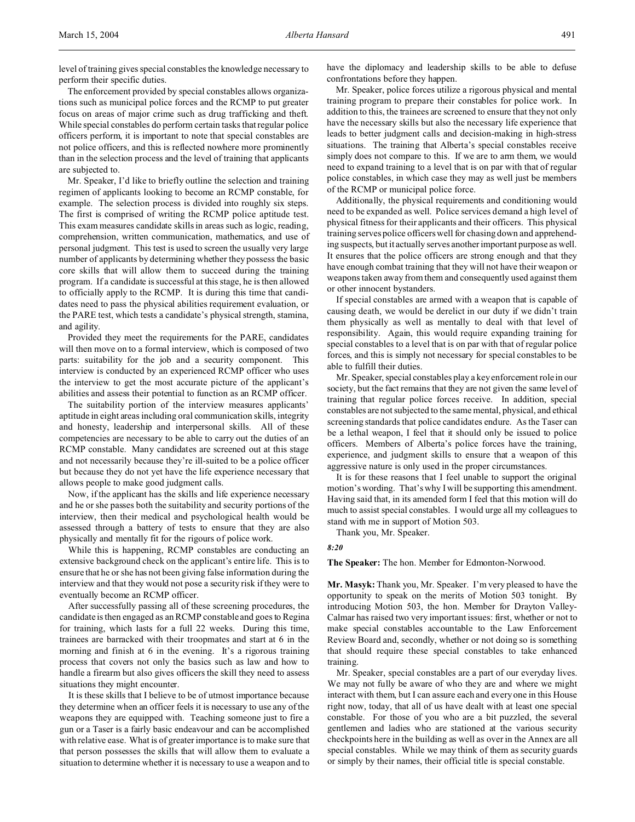level of training gives special constables the knowledge necessary to perform their specific duties.

The enforcement provided by special constables allows organizations such as municipal police forces and the RCMP to put greater focus on areas of major crime such as drug trafficking and theft. While special constables do perform certain tasks that regular police officers perform, it is important to note that special constables are not police officers, and this is reflected nowhere more prominently than in the selection process and the level of training that applicants are subjected to.

Mr. Speaker, I'd like to briefly outline the selection and training regimen of applicants looking to become an RCMP constable, for example. The selection process is divided into roughly six steps. The first is comprised of writing the RCMP police aptitude test. This exam measures candidate skills in areas such as logic, reading, comprehension, written communication, mathematics, and use of personal judgment. This test is used to screen the usually very large number of applicants by determining whether they possess the basic core skills that will allow them to succeed during the training program. If a candidate is successful at this stage, he is then allowed to officially apply to the RCMP. It is during this time that candidates need to pass the physical abilities requirement evaluation, or the PARE test, which tests a candidate's physical strength, stamina, and agility.

Provided they meet the requirements for the PARE, candidates will then move on to a formal interview, which is composed of two parts: suitability for the job and a security component. This interview is conducted by an experienced RCMP officer who uses the interview to get the most accurate picture of the applicant's abilities and assess their potential to function as an RCMP officer.

The suitability portion of the interview measures applicants' aptitude in eight areas including oral communication skills, integrity and honesty, leadership and interpersonal skills. All of these competencies are necessary to be able to carry out the duties of an RCMP constable. Many candidates are screened out at this stage and not necessarily because they're ill-suited to be a police officer but because they do not yet have the life experience necessary that allows people to make good judgment calls.

Now, if the applicant has the skills and life experience necessary and he or she passes both the suitability and security portions of the interview, then their medical and psychological health would be assessed through a battery of tests to ensure that they are also physically and mentally fit for the rigours of police work.

While this is happening, RCMP constables are conducting an extensive background check on the applicant's entire life. This is to ensure that he or she has not been giving false information during the interview and that they would not pose a security risk if they were to eventually become an RCMP officer.

After successfully passing all of these screening procedures, the candidate is then engaged as an RCMP constable and goes to Regina for training, which lasts for a full 22 weeks. During this time, trainees are barracked with their troopmates and start at 6 in the morning and finish at 6 in the evening. It's a rigorous training process that covers not only the basics such as law and how to handle a firearm but also gives officers the skill they need to assess situations they might encounter.

It is these skills that I believe to be of utmost importance because they determine when an officer feels it is necessary to use any of the weapons they are equipped with. Teaching someone just to fire a gun or a Taser is a fairly basic endeavour and can be accomplished with relative ease. What is of greater importance is to make sure that that person possesses the skills that will allow them to evaluate a situation to determine whether it is necessary to use a weapon and to

have the diplomacy and leadership skills to be able to defuse confrontations before they happen.

Mr. Speaker, police forces utilize a rigorous physical and mental training program to prepare their constables for police work. In addition to this, the trainees are screened to ensure that they not only have the necessary skills but also the necessary life experience that leads to better judgment calls and decision-making in high-stress situations. The training that Alberta's special constables receive simply does not compare to this. If we are to arm them, we would need to expand training to a level that is on par with that of regular police constables, in which case they may as well just be members of the RCMP or municipal police force.

Additionally, the physical requirements and conditioning would need to be expanded as well. Police services demand a high level of physical fitness for their applicants and their officers. This physical training serves police officers well for chasing down and apprehending suspects, but it actually serves another important purpose as well. It ensures that the police officers are strong enough and that they have enough combat training that they will not have their weapon or weapons taken away from them and consequently used against them or other innocent bystanders.

If special constables are armed with a weapon that is capable of causing death, we would be derelict in our duty if we didn't train them physically as well as mentally to deal with that level of responsibility. Again, this would require expanding training for special constables to a level that is on par with that of regular police forces, and this is simply not necessary for special constables to be able to fulfill their duties.

Mr. Speaker, special constables play a key enforcement role in our society, but the fact remains that they are not given the same level of training that regular police forces receive. In addition, special constables are not subjected to the same mental, physical, and ethical screening standards that police candidates endure. As the Taser can be a lethal weapon, I feel that it should only be issued to police officers. Members of Alberta's police forces have the training, experience, and judgment skills to ensure that a weapon of this aggressive nature is only used in the proper circumstances.

It is for these reasons that I feel unable to support the original motion's wording. That's why I will be supporting this amendment. Having said that, in its amended form I feel that this motion will do much to assist special constables. I would urge all my colleagues to stand with me in support of Motion 503.

Thank you, Mr. Speaker.

### *8:20*

### **The Speaker:** The hon. Member for Edmonton-Norwood.

**Mr. Masyk:** Thank you, Mr. Speaker. I'm very pleased to have the opportunity to speak on the merits of Motion 503 tonight. By introducing Motion 503, the hon. Member for Drayton Valley-Calmar has raised two very important issues: first, whether or not to make special constables accountable to the Law Enforcement Review Board and, secondly, whether or not doing so is something that should require these special constables to take enhanced training.

Mr. Speaker, special constables are a part of our everyday lives. We may not fully be aware of who they are and where we might interact with them, but I can assure each and every one in this House right now, today, that all of us have dealt with at least one special constable. For those of you who are a bit puzzled, the several gentlemen and ladies who are stationed at the various security checkpoints here in the building as well as over in the Annex are all special constables. While we may think of them as security guards or simply by their names, their official title is special constable.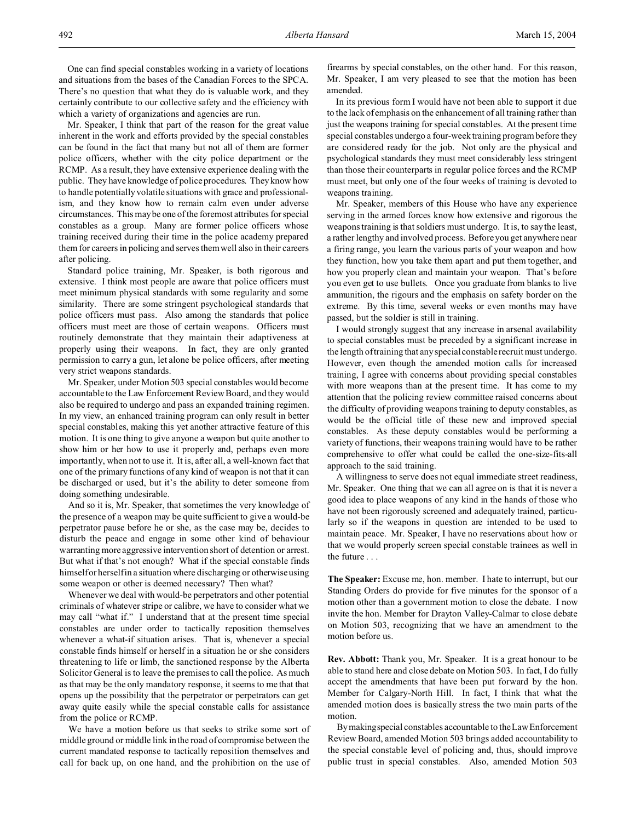Mr. Speaker, I think that part of the reason for the great value inherent in the work and efforts provided by the special constables can be found in the fact that many but not all of them are former police officers, whether with the city police department or the RCMP. As a result, they have extensive experience dealing with the public. They have knowledge of police procedures. They know how to handle potentially volatile situations with grace and professionalism, and they know how to remain calm even under adverse circumstances. This may be one of the foremost attributes for special constables as a group. Many are former police officers whose training received during their time in the police academy prepared them for careers in policing and serves them well also in their careers after policing.

Standard police training, Mr. Speaker, is both rigorous and extensive. I think most people are aware that police officers must meet minimum physical standards with some regularity and some similarity. There are some stringent psychological standards that police officers must pass. Also among the standards that police officers must meet are those of certain weapons. Officers must routinely demonstrate that they maintain their adaptiveness at properly using their weapons. In fact, they are only granted permission to carry a gun, let alone be police officers, after meeting very strict weapons standards.

Mr. Speaker, under Motion 503 special constables would become accountable to the Law Enforcement Review Board, and they would also be required to undergo and pass an expanded training regimen. In my view, an enhanced training program can only result in better special constables, making this yet another attractive feature of this motion. It is one thing to give anyone a weapon but quite another to show him or her how to use it properly and, perhaps even more importantly, when not to use it. It is, after all, a well-known fact that one of the primary functions of any kind of weapon is not that it can be discharged or used, but it's the ability to deter someone from doing something undesirable.

And so it is, Mr. Speaker, that sometimes the very knowledge of the presence of a weapon may be quite sufficient to give a would-be perpetrator pause before he or she, as the case may be, decides to disturb the peace and engage in some other kind of behaviour warranting more aggressive intervention short of detention or arrest. But what if that's not enough? What if the special constable finds himself or herself in a situation where discharging or otherwise using some weapon or other is deemed necessary? Then what?

Whenever we deal with would-be perpetrators and other potential criminals of whatever stripe or calibre, we have to consider what we may call "what if." I understand that at the present time special constables are under order to tactically reposition themselves whenever a what-if situation arises. That is, whenever a special constable finds himself or herself in a situation he or she considers threatening to life or limb, the sanctioned response by the Alberta Solicitor General is to leave the premises to call the police. As much as that may be the only mandatory response, it seems to me that that opens up the possibility that the perpetrator or perpetrators can get away quite easily while the special constable calls for assistance from the police or RCMP.

We have a motion before us that seeks to strike some sort of middle ground or middle link in the road of compromise between the current mandated response to tactically reposition themselves and call for back up, on one hand, and the prohibition on the use of

firearms by special constables, on the other hand. For this reason, Mr. Speaker, I am very pleased to see that the motion has been amended.

In its previous form I would have not been able to support it due to the lack of emphasis on the enhancement of all training rather than just the weapons training for special constables. At the present time special constables undergo a four-week training program before they are considered ready for the job. Not only are the physical and psychological standards they must meet considerably less stringent than those their counterparts in regular police forces and the RCMP must meet, but only one of the four weeks of training is devoted to weapons training.

Mr. Speaker, members of this House who have any experience serving in the armed forces know how extensive and rigorous the weapons training is that soldiers must undergo. It is, to say the least, a rather lengthy and involved process. Before you get anywhere near a firing range, you learn the various parts of your weapon and how they function, how you take them apart and put them together, and how you properly clean and maintain your weapon. That's before you even get to use bullets. Once you graduate from blanks to live ammunition, the rigours and the emphasis on safety border on the extreme. By this time, several weeks or even months may have passed, but the soldier is still in training.

I would strongly suggest that any increase in arsenal availability to special constables must be preceded by a significant increase in the length of training that any special constable recruit must undergo. However, even though the amended motion calls for increased training, I agree with concerns about providing special constables with more weapons than at the present time. It has come to my attention that the policing review committee raised concerns about the difficulty of providing weapons training to deputy constables, as would be the official title of these new and improved special constables. As these deputy constables would be performing a variety of functions, their weapons training would have to be rather comprehensive to offer what could be called the one-size-fits-all approach to the said training.

A willingness to serve does not equal immediate street readiness, Mr. Speaker. One thing that we can all agree on is that it is never a good idea to place weapons of any kind in the hands of those who have not been rigorously screened and adequately trained, particularly so if the weapons in question are intended to be used to maintain peace. Mr. Speaker, I have no reservations about how or that we would properly screen special constable trainees as well in the future . . .

**The Speaker:** Excuse me, hon. member. I hate to interrupt, but our Standing Orders do provide for five minutes for the sponsor of a motion other than a government motion to close the debate. I now invite the hon. Member for Drayton Valley-Calmar to close debate on Motion 503, recognizing that we have an amendment to the motion before us.

**Rev. Abbott:** Thank you, Mr. Speaker. It is a great honour to be able to stand here and close debate on Motion 503. In fact, I do fully accept the amendments that have been put forward by the hon. Member for Calgary-North Hill. In fact, I think that what the amended motion does is basically stress the two main parts of the motion.

Bymakingspecial constables accountable to the Law Enforcement Review Board, amended Motion 503 brings added accountability to the special constable level of policing and, thus, should improve public trust in special constables. Also, amended Motion 503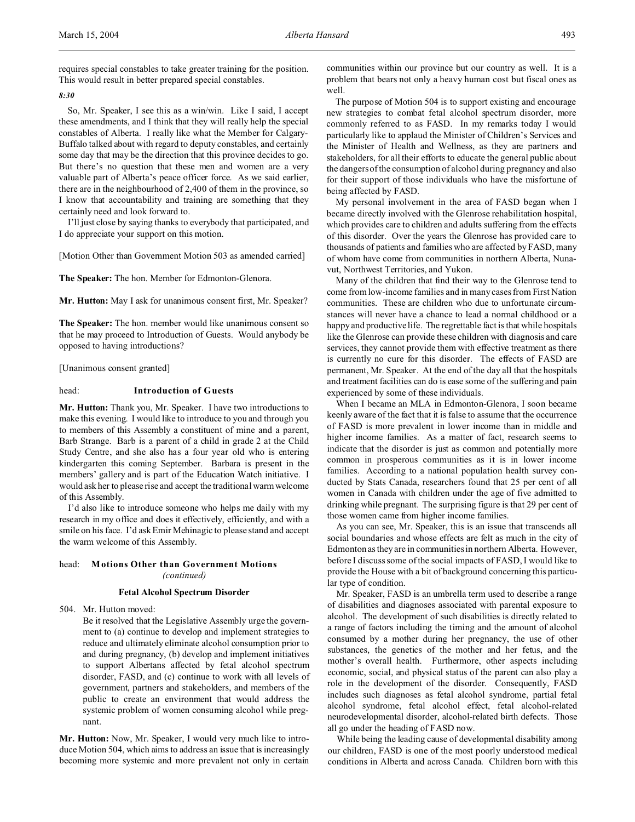requires special constables to take greater training for the position. This would result in better prepared special constables.

#### *8:30*

So, Mr. Speaker, I see this as a win/win. Like I said, I accept these amendments, and I think that they will really help the special constables of Alberta. I really like what the Member for Calgary-Buffalo talked about with regard to deputy constables, and certainly some day that may be the direction that this province decides to go. But there's no question that these men and women are a very valuable part of Alberta's peace officer force. As we said earlier, there are in the neighbourhood of 2,400 of them in the province, so I know that accountability and training are something that they certainly need and look forward to.

I'll just close by saying thanks to everybody that participated, and I do appreciate your support on this motion.

[Motion Other than Government Motion 503 as amended carried]

**The Speaker:** The hon. Member for Edmonton-Glenora.

**Mr. Hutton:** May I ask for unanimous consent first, Mr. Speaker?

**The Speaker:** The hon. member would like unanimous consent so that he may proceed to Introduction of Guests. Would anybody be opposed to having introductions?

[Unanimous consent granted]

#### head: **Introduction of Guests**

**Mr. Hutton:** Thank you, Mr. Speaker. I have two introductions to make this evening. I would like to introduce to you and through you to members of this Assembly a constituent of mine and a parent, Barb Strange. Barb is a parent of a child in grade 2 at the Child Study Centre, and she also has a four year old who is entering kindergarten this coming September. Barbara is present in the members' gallery and is part of the Education Watch initiative. I would ask her to please rise and accept the traditional warm welcome of this Assembly.

I'd also like to introduce someone who helps me daily with my research in my office and does it effectively, efficiently, and with a smile on his face. I'd ask Emir Mehinagic to please stand and accept the warm welcome of this Assembly.

### head: **Motions Other than Government Motions** *(continued)*

#### **Fetal Alcohol Spectrum Disorder**

504. Mr. Hutton moved:

Be it resolved that the Legislative Assembly urge the government to (a) continue to develop and implement strategies to reduce and ultimately eliminate alcohol consumption prior to and during pregnancy, (b) develop and implement initiatives to support Albertans affected by fetal alcohol spectrum disorder, FASD, and (c) continue to work with all levels of government, partners and stakeholders, and members of the public to create an environment that would address the systemic problem of women consuming alcohol while pregnant.

**Mr. Hutton:** Now, Mr. Speaker, I would very much like to introduce Motion 504, which aims to address an issue that is increasingly becoming more systemic and more prevalent not only in certain communities within our province but our country as well. It is a problem that bears not only a heavy human cost but fiscal ones as well.

The purpose of Motion 504 is to support existing and encourage new strategies to combat fetal alcohol spectrum disorder, more commonly referred to as FASD. In my remarks today I would particularly like to applaud the Minister of Children's Services and the Minister of Health and Wellness, as they are partners and stakeholders, for all their efforts to educate the general public about the dangers of the consumption of alcohol during pregnancy and also for their support of those individuals who have the misfortune of being affected by FASD.

My personal involvement in the area of FASD began when I became directly involved with the Glenrose rehabilitation hospital, which provides care to children and adults suffering from the effects of this disorder. Over the years the Glenrose has provided care to thousands of patients and families who are affected by FASD, many of whom have come from communities in northern Alberta, Nunavut, Northwest Territories, and Yukon.

Many of the children that find their way to the Glenrose tend to come from low-income families and in many cases from First Nation communities. These are children who due to unfortunate circumstances will never have a chance to lead a normal childhood or a happy and productive life. The regrettable fact is that while hospitals like the Glenrose can provide these children with diagnosis and care services, they cannot provide them with effective treatment as there is currently no cure for this disorder. The effects of FASD are permanent, Mr. Speaker. At the end of the day all that the hospitals and treatment facilities can do is ease some of the suffering and pain experienced by some of these individuals.

When I became an MLA in Edmonton-Glenora, I soon became keenly aware of the fact that it is false to assume that the occurrence of FASD is more prevalent in lower income than in middle and higher income families. As a matter of fact, research seems to indicate that the disorder is just as common and potentially more common in prosperous communities as it is in lower income families. According to a national population health survey conducted by Stats Canada, researchers found that 25 per cent of all women in Canada with children under the age of five admitted to drinking while pregnant. The surprising figure is that 29 per cent of those women came from higher income families.

As you can see, Mr. Speaker, this is an issue that transcends all social boundaries and whose effects are felt as much in the city of Edmonton as they are in communities in northern Alberta. However, before I discuss some of the social impacts of FASD, I would like to provide the House with a bit of background concerning this particular type of condition.

Mr. Speaker, FASD is an umbrella term used to describe a range of disabilities and diagnoses associated with parental exposure to alcohol. The development of such disabilities is directly related to a range of factors including the timing and the amount of alcohol consumed by a mother during her pregnancy, the use of other substances, the genetics of the mother and her fetus, and the mother's overall health. Furthermore, other aspects including economic, social, and physical status of the parent can also play a role in the development of the disorder. Consequently, FASD includes such diagnoses as fetal alcohol syndrome, partial fetal alcohol syndrome, fetal alcohol effect, fetal alcohol-related neurodevelopmental disorder, alcohol-related birth defects. Those all go under the heading of FASD now.

While being the leading cause of developmental disability among our children, FASD is one of the most poorly understood medical conditions in Alberta and across Canada. Children born with this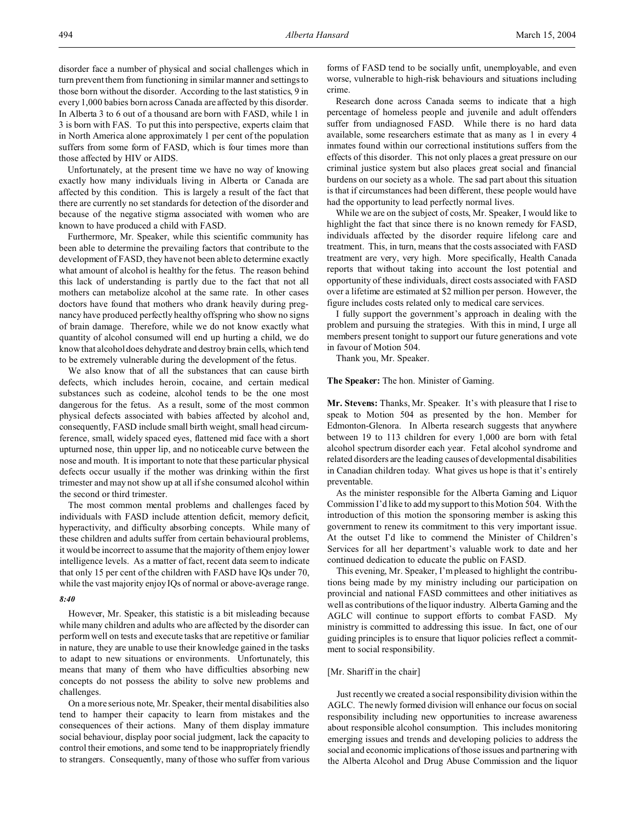Unfortunately, at the present time we have no way of knowing exactly how many individuals living in Alberta or Canada are affected by this condition. This is largely a result of the fact that there are currently no set standards for detection of the disorder and because of the negative stigma associated with women who are known to have produced a child with FASD.

Furthermore, Mr. Speaker, while this scientific community has been able to determine the prevailing factors that contribute to the development of FASD, they have not been able to determine exactly what amount of alcohol is healthy for the fetus. The reason behind this lack of understanding is partly due to the fact that not all mothers can metabolize alcohol at the same rate. In other cases doctors have found that mothers who drank heavily during pregnancy have produced perfectly healthy offspring who show no signs of brain damage. Therefore, while we do not know exactly what quantity of alcohol consumed will end up hurting a child, we do know that alcohol does dehydrate and destroy brain cells, which tend to be extremely vulnerable during the development of the fetus.

We also know that of all the substances that can cause birth defects, which includes heroin, cocaine, and certain medical substances such as codeine, alcohol tends to be the one most dangerous for the fetus. As a result, some of the most common physical defects associated with babies affected by alcohol and, consequently, FASD include small birth weight, small head circumference, small, widely spaced eyes, flattened mid face with a short upturned nose, thin upper lip, and no noticeable curve between the nose and mouth. It is important to note that these particular physical defects occur usually if the mother was drinking within the first trimester and may not show up at all if she consumed alcohol within the second or third trimester.

The most common mental problems and challenges faced by individuals with FASD include attention deficit, memory deficit, hyperactivity, and difficulty absorbing concepts. While many of these children and adults suffer from certain behavioural problems, it would be incorrect to assume that the majority of them enjoy lower intelligence levels. As a matter of fact, recent data seem to indicate that only 15 per cent of the children with FASD have IQs under 70, while the vast majority enjoy IQs of normal or above-average range.

### *8:40*

However, Mr. Speaker, this statistic is a bit misleading because while many children and adults who are affected by the disorder can perform well on tests and execute tasks that are repetitive or familiar in nature, they are unable to use their knowledge gained in the tasks to adapt to new situations or environments. Unfortunately, this means that many of them who have difficulties absorbing new concepts do not possess the ability to solve new problems and challenges.

On a more serious note, Mr. Speaker, their mental disabilities also tend to hamper their capacity to learn from mistakes and the consequences of their actions. Many of them display immature social behaviour, display poor social judgment, lack the capacity to control their emotions, and some tend to be inappropriately friendly to strangers. Consequently, many of those who suffer from various forms of FASD tend to be socially unfit, unemployable, and even worse, vulnerable to high-risk behaviours and situations including crime.

Research done across Canada seems to indicate that a high percentage of homeless people and juvenile and adult offenders suffer from undiagnosed FASD. While there is no hard data available, some researchers estimate that as many as 1 in every 4 inmates found within our correctional institutions suffers from the effects of this disorder. This not only places a great pressure on our criminal justice system but also places great social and financial burdens on our society as a whole. The sad part about this situation is that if circumstances had been different, these people would have had the opportunity to lead perfectly normal lives.

While we are on the subject of costs, Mr. Speaker, I would like to highlight the fact that since there is no known remedy for FASD, individuals affected by the disorder require lifelong care and treatment. This, in turn, means that the costs associated with FASD treatment are very, very high. More specifically, Health Canada reports that without taking into account the lost potential and opportunity of these individuals, direct costs associated with FASD over a lifetime are estimated at \$2 million per person. However, the figure includes costs related only to medical care services.

I fully support the government's approach in dealing with the problem and pursuing the strategies. With this in mind, I urge all members present tonight to support our future generations and vote in favour of Motion 504.

Thank you, Mr. Speaker.

**The Speaker:** The hon. Minister of Gaming.

**Mr. Stevens:** Thanks, Mr. Speaker. It's with pleasure that I rise to speak to Motion 504 as presented by the hon. Member for Edmonton-Glenora. In Alberta research suggests that anywhere between 19 to 113 children for every 1,000 are born with fetal alcohol spectrum disorder each year. Fetal alcohol syndrome and related disorders are the leading causes of developmental disabilities in Canadian children today. What gives us hope is that it's entirely preventable.

As the minister responsible for the Alberta Gaming and Liquor Commission I'd like to add my support to this Motion 504. With the introduction of this motion the sponsoring member is asking this government to renew its commitment to this very important issue. At the outset I'd like to commend the Minister of Children's Services for all her department's valuable work to date and her continued dedication to educate the public on FASD.

This evening, Mr. Speaker, I'm pleased to highlight the contributions being made by my ministry including our participation on provincial and national FASD committees and other initiatives as well as contributions of the liquor industry. Alberta Gaming and the AGLC will continue to support efforts to combat FASD. My ministry is committed to addressing this issue. In fact, one of our guiding principles is to ensure that liquor policies reflect a commitment to social responsibility.

### [Mr. Shariff in the chair]

Just recently we created a social responsibility division within the AGLC. The newly formed division will enhance our focus on social responsibility including new opportunities to increase awareness about responsible alcohol consumption. This includes monitoring emerging issues and trends and developing policies to address the social and economic implications of those issues and partnering with the Alberta Alcohol and Drug Abuse Commission and the liquor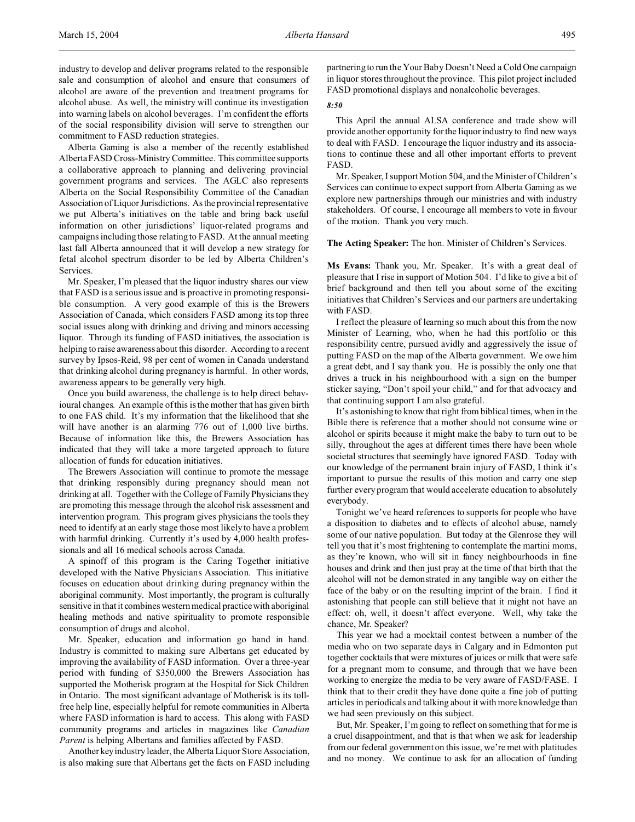Alberta Gaming is also a member of the recently established Alberta FASD Cross-Ministry Committee. This committee supports a collaborative approach to planning and delivering provincial government programs and services. The AGLC also represents Alberta on the Social Responsibility Committee of the Canadian Association of Liquor Jurisdictions. As the provincial representative we put Alberta's initiatives on the table and bring back useful information on other jurisdictions' liquor-related programs and campaigns including those relating to FASD. At the annual meeting last fall Alberta announced that it will develop a new strategy for fetal alcohol spectrum disorder to be led by Alberta Children's Services.

Mr. Speaker, I'm pleased that the liquor industry shares our view that FASD is a serious issue and is proactive in promoting responsible consumption. A very good example of this is the Brewers Association of Canada, which considers FASD among its top three social issues along with drinking and driving and minors accessing liquor. Through its funding of FASD initiatives, the association is helping to raise awareness about this disorder. According to a recent survey by Ipsos-Reid, 98 per cent of women in Canada understand that drinking alcohol during pregnancy is harmful. In other words, awareness appears to be generally very high.

Once you build awareness, the challenge is to help direct behavioural changes. An example of this is the mother that has given birth to one FAS child. It's my information that the likelihood that she will have another is an alarming 776 out of 1,000 live births. Because of information like this, the Brewers Association has indicated that they will take a more targeted approach to future allocation of funds for education initiatives.

The Brewers Association will continue to promote the message that drinking responsibly during pregnancy should mean not drinking at all. Together with the College of Family Physicians they are promoting this message through the alcohol risk assessment and intervention program. This program gives physicians the tools they need to identify at an early stage those most likely to have a problem with harmful drinking. Currently it's used by 4,000 health professionals and all 16 medical schools across Canada.

A spinoff of this program is the Caring Together initiative developed with the Native Physicians Association. This initiative focuses on education about drinking during pregnancy within the aboriginal community. Most importantly, the program is culturally sensitive in that it combines western medical practice with aboriginal healing methods and native spirituality to promote responsible consumption of drugs and alcohol.

Mr. Speaker, education and information go hand in hand. Industry is committed to making sure Albertans get educated by improving the availability of FASD information. Over a three-year period with funding of \$350,000 the Brewers Association has supported the Motherisk program at the Hospital for Sick Children in Ontario. The most significant advantage of Motherisk is its tollfree help line, especially helpful for remote communities in Alberta where FASD information is hard to access. This along with FASD community programs and articles in magazines like *Canadian Parent* is helping Albertans and families affected by FASD.

Another keyindustry leader, the Alberta Liquor Store Association, is also making sure that Albertans get the facts on FASD including partnering to run the Your Baby Doesn't Need a Cold One campaign in liquor stores throughout the province. This pilot project included FASD promotional displays and nonalcoholic beverages.

#### *8:50*

This April the annual ALSA conference and trade show will provide another opportunity for the liquor industry to find new ways to deal with FASD. I encourage the liquor industry and its associations to continue these and all other important efforts to prevent FASD.

Mr. Speaker, I support Motion 504, and the Minister of Children's Services can continue to expect support from Alberta Gaming as we explore new partnerships through our ministries and with industry stakeholders. Of course, I encourage all members to vote in favour of the motion. Thank you very much.

### **The Acting Speaker:** The hon. Minister of Children's Services.

**Ms Evans:** Thank you, Mr. Speaker. It's with a great deal of pleasure that I rise in support of Motion 504. I'd like to give a bit of brief background and then tell you about some of the exciting initiatives that Children's Services and our partners are undertaking with FASD.

I reflect the pleasure of learning so much about this from the now Minister of Learning, who, when he had this portfolio or this responsibility centre, pursued avidly and aggressively the issue of putting FASD on the map of the Alberta government. We owe him a great debt, and I say thank you. He is possibly the only one that drives a truck in his neighbourhood with a sign on the bumper sticker saying, "Don't spoil your child," and for that advocacy and that continuing support I am also grateful.

It's astonishing to know that right from biblical times, when in the Bible there is reference that a mother should not consume wine or alcohol or spirits because it might make the baby to turn out to be silly, throughout the ages at different times there have been whole societal structures that seemingly have ignored FASD. Today with our knowledge of the permanent brain injury of FASD, I think it's important to pursue the results of this motion and carry one step further every program that would accelerate education to absolutely everybody.

Tonight we've heard references to supports for people who have a disposition to diabetes and to effects of alcohol abuse, namely some of our native population. But today at the Glenrose they will tell you that it's most frightening to contemplate the martini moms, as they're known, who will sit in fancy neighbourhoods in fine houses and drink and then just pray at the time of that birth that the alcohol will not be demonstrated in any tangible way on either the face of the baby or on the resulting imprint of the brain. I find it astonishing that people can still believe that it might not have an effect: oh, well, it doesn't affect everyone. Well, why take the chance, Mr. Speaker?

This year we had a mocktail contest between a number of the media who on two separate days in Calgary and in Edmonton put together cocktails that were mixtures of juices or milk that were safe for a pregnant mom to consume, and through that we have been working to energize the media to be very aware of FASD/FASE. I think that to their credit they have done quite a fine job of putting articles in periodicals and talking about it with more knowledge than we had seen previously on this subject.

But, Mr. Speaker, I'm going to reflect on something that for me is a cruel disappointment, and that is that when we ask for leadership from our federal government on this issue, we're met with platitudes and no money. We continue to ask for an allocation of funding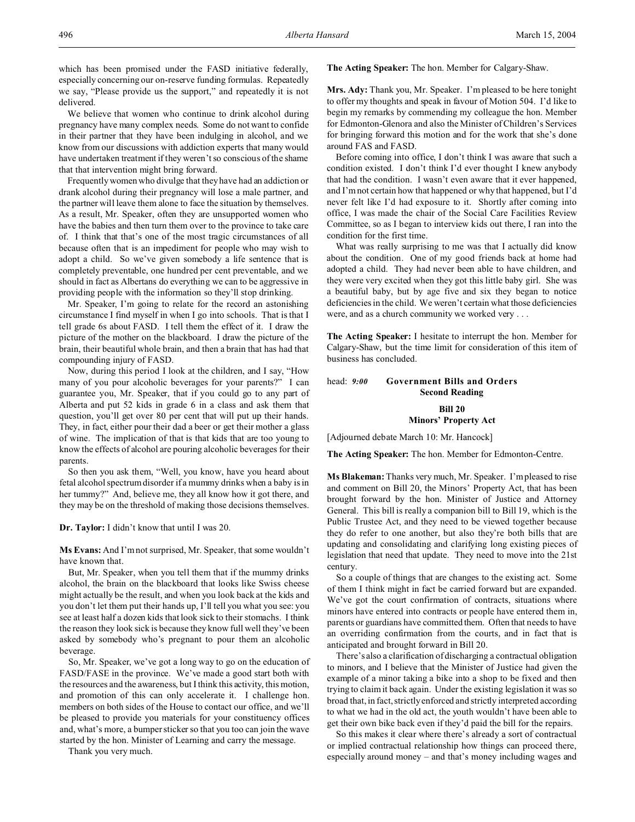which has been promised under the FASD initiative federally, especially concerning our on-reserve funding formulas. Repeatedly we say, "Please provide us the support," and repeatedly it is not delivered.

We believe that women who continue to drink alcohol during pregnancy have many complex needs. Some do not want to confide in their partner that they have been indulging in alcohol, and we know from our discussions with addiction experts that many would have undertaken treatment if they weren't so conscious of the shame that that intervention might bring forward.

Frequently women who divulge that they have had an addiction or drank alcohol during their pregnancy will lose a male partner, and the partner will leave them alone to face the situation by themselves. As a result, Mr. Speaker, often they are unsupported women who have the babies and then turn them over to the province to take care of. I think that that's one of the most tragic circumstances of all because often that is an impediment for people who may wish to adopt a child. So we've given somebody a life sentence that is completely preventable, one hundred per cent preventable, and we should in fact as Albertans do everything we can to be aggressive in providing people with the information so they'll stop drinking.

Mr. Speaker, I'm going to relate for the record an astonishing circumstance I find myself in when I go into schools. That is that I tell grade 6s about FASD. I tell them the effect of it. I draw the picture of the mother on the blackboard. I draw the picture of the brain, their beautiful whole brain, and then a brain that has had that compounding injury of FASD.

Now, during this period I look at the children, and I say, "How many of you pour alcoholic beverages for your parents?" I can guarantee you, Mr. Speaker, that if you could go to any part of Alberta and put 52 kids in grade 6 in a class and ask them that question, you'll get over 80 per cent that will put up their hands. They, in fact, either pour their dad a beer or get their mother a glass of wine. The implication of that is that kids that are too young to know the effects of alcohol are pouring alcoholic beverages for their parents.

So then you ask them, "Well, you know, have you heard about fetal alcohol spectrum disorder if a mummy drinks when a baby is in her tummy?" And, believe me, they all know how it got there, and they may be on the threshold of making those decisions themselves.

**Dr. Taylor:** I didn't know that until I was 20.

**Ms Evans:** And I'm not surprised, Mr. Speaker, that some wouldn't have known that.

But, Mr. Speaker, when you tell them that if the mummy drinks alcohol, the brain on the blackboard that looks like Swiss cheese might actually be the result, and when you look back at the kids and you don't let them put their hands up, I'll tell you what you see: you see at least half a dozen kids that look sick to their stomachs. I think the reason they look sick is because they know full well they've been asked by somebody who's pregnant to pour them an alcoholic beverage.

So, Mr. Speaker, we've got a long way to go on the education of FASD/FASE in the province. We've made a good start both with the resources and the awareness, but I think this activity, this motion, and promotion of this can only accelerate it. I challenge hon. members on both sides of the House to contact our office, and we'll be pleased to provide you materials for your constituency offices and, what's more, a bumper sticker so that you too can join the wave started by the hon. Minister of Learning and carry the message.

Thank you very much.

**The Acting Speaker:** The hon. Member for Calgary-Shaw.

**Mrs. Ady:** Thank you, Mr. Speaker. I'm pleased to be here tonight to offer my thoughts and speak in favour of Motion 504. I'd like to begin my remarks by commending my colleague the hon. Member for Edmonton-Glenora and also the Minister of Children's Services for bringing forward this motion and for the work that she's done around FAS and FASD.

Before coming into office, I don't think I was aware that such a condition existed. I don't think I'd ever thought I knew anybody that had the condition. I wasn't even aware that it ever happened, and I'm not certain how that happened or why that happened, but I'd never felt like I'd had exposure to it. Shortly after coming into office, I was made the chair of the Social Care Facilities Review Committee, so as I began to interview kids out there, I ran into the condition for the first time.

What was really surprising to me was that I actually did know about the condition. One of my good friends back at home had adopted a child. They had never been able to have children, and they were very excited when they got this little baby girl. She was a beautiful baby, but by age five and six they began to notice deficiencies in the child. We weren't certain what those deficiencies were, and as a church community we worked very . . .

**The Acting Speaker:** I hesitate to interrupt the hon. Member for Calgary-Shaw, but the time limit for consideration of this item of business has concluded.

# head: *9:00* **Government Bills and Orders Second Reading**

### **Bill 20 Minors' Property Act**

[Adjourned debate March 10: Mr. Hancock]

**The Acting Speaker:** The hon. Member for Edmonton-Centre.

**Ms Blakeman:** Thanks very much, Mr. Speaker. I'm pleased to rise and comment on Bill 20, the Minors' Property Act, that has been brought forward by the hon. Minister of Justice and Attorney General. This bill is really a companion bill to Bill 19, which is the Public Trustee Act, and they need to be viewed together because they do refer to one another, but also they're both bills that are updating and consolidating and clarifying long existing pieces of legislation that need that update. They need to move into the 21st century.

So a couple of things that are changes to the existing act. Some of them I think might in fact be carried forward but are expanded. We've got the court confirmation of contracts, situations where minors have entered into contracts or people have entered them in, parents or guardians have committed them. Often that needs to have an overriding confirmation from the courts, and in fact that is anticipated and brought forward in Bill 20.

There's also a clarification of discharging a contractual obligation to minors, and I believe that the Minister of Justice had given the example of a minor taking a bike into a shop to be fixed and then trying to claim it back again. Under the existing legislation it was so broad that, in fact, strictly enforced and strictly interpreted according to what we had in the old act, the youth wouldn't have been able to get their own bike back even if they'd paid the bill for the repairs.

So this makes it clear where there's already a sort of contractual or implied contractual relationship how things can proceed there, especially around money – and that's money including wages and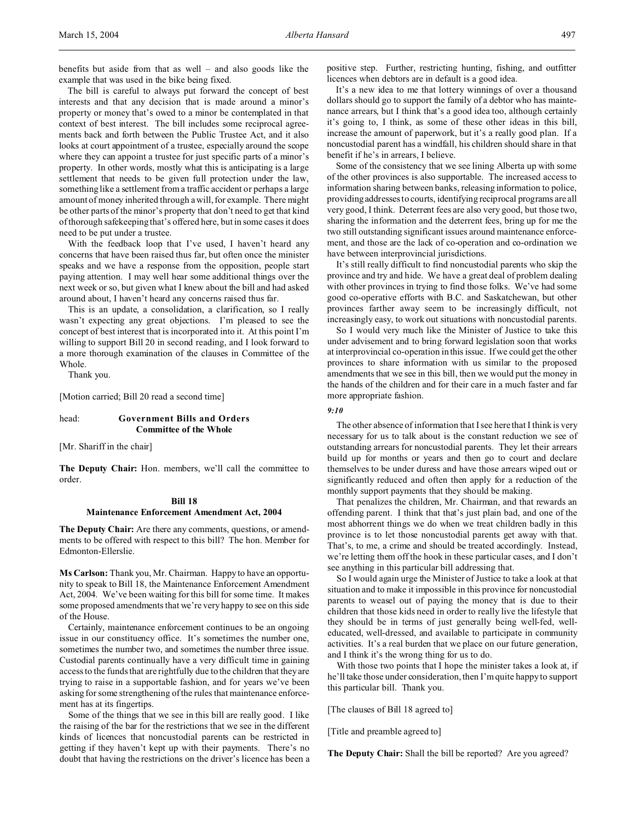benefits but aside from that as well – and also goods like the example that was used in the bike being fixed.

The bill is careful to always put forward the concept of best interests and that any decision that is made around a minor's property or money that's owed to a minor be contemplated in that context of best interest. The bill includes some reciprocal agreements back and forth between the Public Trustee Act, and it also looks at court appointment of a trustee, especially around the scope where they can appoint a trustee for just specific parts of a minor's property. In other words, mostly what this is anticipating is a large settlement that needs to be given full protection under the law, something like a settlement from a traffic accident or perhaps a large amount of money inherited through a will, for example. There might be other parts of the minor's property that don't need to get that kind of thorough safekeeping that's offered here, but in some cases it does need to be put under a trustee.

With the feedback loop that I've used, I haven't heard any concerns that have been raised thus far, but often once the minister speaks and we have a response from the opposition, people start paying attention. I may well hear some additional things over the next week or so, but given what I knew about the bill and had asked around about, I haven't heard any concerns raised thus far.

This is an update, a consolidation, a clarification, so I really wasn't expecting any great objections. I'm pleased to see the concept of best interest that is incorporated into it. At this point I'm willing to support Bill 20 in second reading, and I look forward to a more thorough examination of the clauses in Committee of the Whole.

Thank you.

[Motion carried; Bill 20 read a second time]

### head: **Government Bills and Orders Committee of the Whole**

[Mr. Shariff in the chair]

**The Deputy Chair:** Hon. members, we'll call the committee to order.

### **Bill 18 Maintenance Enforcement Amendment Act, 2004**

**The Deputy Chair:** Are there any comments, questions, or amendments to be offered with respect to this bill? The hon. Member for Edmonton-Ellerslie.

**Ms Carlson:** Thank you, Mr. Chairman. Happy to have an opportunity to speak to Bill 18, the Maintenance Enforcement Amendment Act, 2004. We've been waiting for this bill for some time. It makes some proposed amendments that we're very happy to see on this side of the House.

Certainly, maintenance enforcement continues to be an ongoing issue in our constituency office. It's sometimes the number one, sometimes the number two, and sometimes the number three issue. Custodial parents continually have a very difficult time in gaining access to the funds that are rightfully due to the children that they are trying to raise in a supportable fashion, and for years we've been asking for some strengthening of the rules that maintenance enforcement has at its fingertips.

Some of the things that we see in this bill are really good. I like the raising of the bar for the restrictions that we see in the different kinds of licences that noncustodial parents can be restricted in getting if they haven't kept up with their payments. There's no doubt that having the restrictions on the driver's licence has been a

positive step. Further, restricting hunting, fishing, and outfitter licences when debtors are in default is a good idea.

It's a new idea to me that lottery winnings of over a thousand dollars should go to support the family of a debtor who has maintenance arrears, but I think that's a good idea too, although certainly it's going to, I think, as some of these other ideas in this bill, increase the amount of paperwork, but it's a really good plan. If a noncustodial parent has a windfall, his children should share in that benefit if he's in arrears, I believe.

Some of the consistency that we see lining Alberta up with some of the other provinces is also supportable. The increased access to information sharing between banks, releasing information to police, providing addresses to courts, identifying reciprocal programs are all very good, I think. Deterrent fees are also very good, but those two, sharing the information and the deterrent fees, bring up for me the two still outstanding significant issues around maintenance enforcement, and those are the lack of co-operation and co-ordination we have between interprovincial jurisdictions.

It's still really difficult to find noncustodial parents who skip the province and try and hide. We have a great deal of problem dealing with other provinces in trying to find those folks. We've had some good co-operative efforts with B.C. and Saskatchewan, but other provinces farther away seem to be increasingly difficult, not increasingly easy, to work out situations with noncustodial parents.

So I would very much like the Minister of Justice to take this under advisement and to bring forward legislation soon that works at interprovincial co-operation in this issue. If we could get the other provinces to share information with us similar to the proposed amendments that we see in this bill, then we would put the money in the hands of the children and for their care in a much faster and far more appropriate fashion.

## *9:10*

The other absence of information that I see here that I think is very necessary for us to talk about is the constant reduction we see of outstanding arrears for noncustodial parents. They let their arrears build up for months or years and then go to court and declare themselves to be under duress and have those arrears wiped out or significantly reduced and often then apply for a reduction of the monthly support payments that they should be making.

That penalizes the children, Mr. Chairman, and that rewards an offending parent. I think that that's just plain bad, and one of the most abhorrent things we do when we treat children badly in this province is to let those noncustodial parents get away with that. That's, to me, a crime and should be treated accordingly. Instead, we're letting them off the hook in these particular cases, and I don't see anything in this particular bill addressing that.

So I would again urge the Minister of Justice to take a look at that situation and to make it impossible in this province for noncustodial parents to weasel out of paying the money that is due to their children that those kids need in order to really live the lifestyle that they should be in terms of just generally being well-fed, welleducated, well-dressed, and available to participate in community activities. It's a real burden that we place on our future generation, and I think it's the wrong thing for us to do.

With those two points that I hope the minister takes a look at, if he'll take those under consideration, then I'm quite happy to support this particular bill. Thank you.

[The clauses of Bill 18 agreed to]

[Title and preamble agreed to]

**The Deputy Chair:** Shall the bill be reported? Are you agreed?